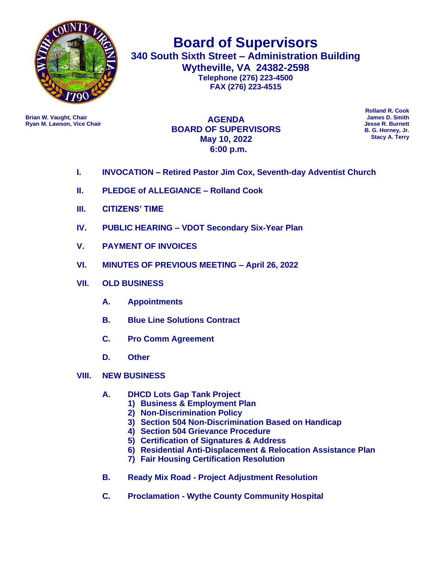

**Board of Supervisors 340 South Sixth Street – Administration Building Wytheville, VA 24382-2598 Telephone (276) 223-4500 FAX (276) 223-4515**

**Ryan M. Lawson, Vice Chair** 

**Brian W. Vaught, Chair James D. Smith AGENDA BOARD OF SUPERVISORS May 10, 2022 6:00 p.m.**

**Rolland R. Cook B. G. Horney, Jr. Stacy A. Terry**

- **I. INVOCATION – Retired Pastor Jim Cox, Seventh-day Adventist Church**
- **II. PLEDGE of ALLEGIANCE – Rolland Cook**
- **III. CITIZENS' TIME**
- **IV. PUBLIC HEARING – VDOT Secondary Six-Year Plan**
- **V. PAYMENT OF INVOICES**
- **VI. MINUTES OF PREVIOUS MEETING – April 26, 2022**
- **VII. OLD BUSINESS**
	- **A. Appointments**
	- **B. Blue Line Solutions Contract**
	- **C. Pro Comm Agreement**
	- **D. Other**
- **VIII. NEW BUSINESS** 
	- **A. DHCD Lots Gap Tank Project**
		- **1) Business & Employment Plan**
		- **2) Non-Discrimination Policy**
		- **3) Section 504 Non-Discrimination Based on Handicap**
		- **4) Section 504 Grievance Procedure**
		- **5) Certification of Signatures & Address**
		- **6) Residential Anti-Displacement & Relocation Assistance Plan**
		- **7) Fair Housing Certification Resolution**
	- **B. Ready Mix Road - Project Adjustment Resolution**
	- **C. Proclamation - Wythe County Community Hospital**